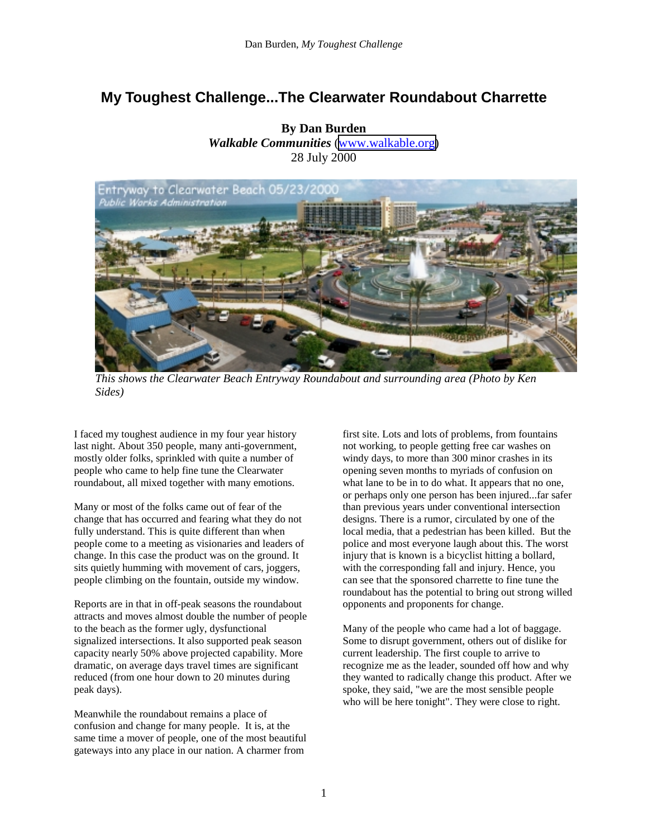## **My Toughest Challenge...The Clearwater Roundabout Charrette**



*This shows the Clearwater Beach Entryway Roundabout and surrounding area (Photo by Ken Sides)* 

I faced my toughest audience in my four year history last night. About 350 people, many anti-government, mostly older folks, sprinkled with quite a number of people who came to help fine tune the Clearwater roundabout, all mixed together with many emotions.

Many or most of the folks came out of fear of the change that has occurred and fearing what they do not fully understand. This is quite different than when people come to a meeting as visionaries and leaders of change. In this case the product was on the ground. It sits quietly humming with movement of cars, joggers, people climbing on the fountain, outside my window.

Reports are in that in off-peak seasons the roundabout attracts and moves almost double the number of people to the beach as the former ugly, dysfunctional signalized intersections. It also supported peak season capacity nearly 50% above projected capability. More dramatic, on average days travel times are significant reduced (from one hour down to 20 minutes during peak days).

Meanwhile the roundabout remains a place of confusion and change for many people. It is, at the same time a mover of people, one of the most beautiful gateways into any place in our nation. A charmer from

first site. Lots and lots of problems, from fountains not working, to people getting free car washes on windy days, to more than 300 minor crashes in its opening seven months to myriads of confusion on what lane to be in to do what. It appears that no one, or perhaps only one person has been injured...far safer than previous years under conventional intersection designs. There is a rumor, circulated by one of the local media, that a pedestrian has been killed. But the police and most everyone laugh about this. The worst injury that is known is a bicyclist hitting a bollard, with the corresponding fall and injury. Hence, you can see that the sponsored charrette to fine tune the roundabout has the potential to bring out strong willed opponents and proponents for change.

Many of the people who came had a lot of baggage. Some to disrupt government, others out of dislike for current leadership. The first couple to arrive to recognize me as the leader, sounded off how and why they wanted to radically change this product. After we spoke, they said, "we are the most sensible people who will be here tonight". They were close to right.

**By Dan Burden**  *Walkable Communities* [\(www.walkable.org\)](http://www.walkable.org/) 28 July 2000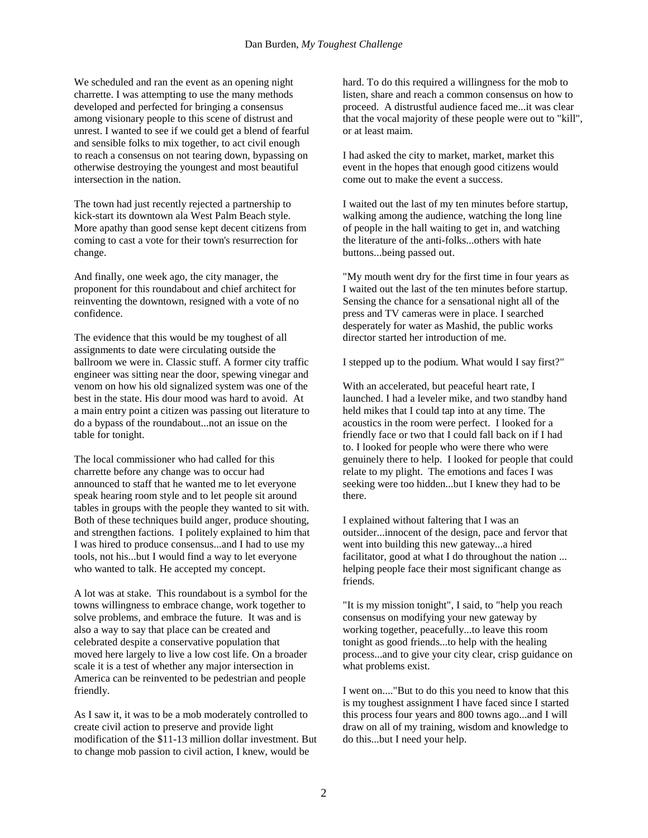We scheduled and ran the event as an opening night charrette. I was attempting to use the many methods developed and perfected for bringing a consensus among visionary people to this scene of distrust and unrest. I wanted to see if we could get a blend of fearful and sensible folks to mix together, to act civil enough to reach a consensus on not tearing down, bypassing on otherwise destroying the youngest and most beautiful intersection in the nation.

The town had just recently rejected a partnership to kick-start its downtown ala West Palm Beach style. More apathy than good sense kept decent citizens from coming to cast a vote for their town's resurrection for change.

And finally, one week ago, the city manager, the proponent for this roundabout and chief architect for reinventing the downtown, resigned with a vote of no confidence.

The evidence that this would be my toughest of all assignments to date were circulating outside the ballroom we were in. Classic stuff. A former city traffic engineer was sitting near the door, spewing vinegar and venom on how his old signalized system was one of the best in the state. His dour mood was hard to avoid. At a main entry point a citizen was passing out literature to do a bypass of the roundabout...not an issue on the table for tonight.

The local commissioner who had called for this charrette before any change was to occur had announced to staff that he wanted me to let everyone speak hearing room style and to let people sit around tables in groups with the people they wanted to sit with. Both of these techniques build anger, produce shouting, and strengthen factions. I politely explained to him that I was hired to produce consensus...and I had to use my tools, not his...but I would find a way to let everyone who wanted to talk. He accepted my concept.

A lot was at stake. This roundabout is a symbol for the towns willingness to embrace change, work together to solve problems, and embrace the future. It was and is also a way to say that place can be created and celebrated despite a conservative population that moved here largely to live a low cost life. On a broader scale it is a test of whether any major intersection in America can be reinvented to be pedestrian and people friendly.

As I saw it, it was to be a mob moderately controlled to create civil action to preserve and provide light modification of the \$11-13 million dollar investment. But to change mob passion to civil action, I knew, would be

hard. To do this required a willingness for the mob to listen, share and reach a common consensus on how to proceed. A distrustful audience faced me...it was clear that the vocal majority of these people were out to "kill", or at least maim.

I had asked the city to market, market, market this event in the hopes that enough good citizens would come out to make the event a success.

I waited out the last of my ten minutes before startup, walking among the audience, watching the long line of people in the hall waiting to get in, and watching the literature of the anti-folks...others with hate buttons...being passed out.

"My mouth went dry for the first time in four years as I waited out the last of the ten minutes before startup. Sensing the chance for a sensational night all of the press and TV cameras were in place. I searched desperately for water as Mashid, the public works director started her introduction of me.

I stepped up to the podium. What would I say first?"

With an accelerated, but peaceful heart rate, I launched. I had a leveler mike, and two standby hand held mikes that I could tap into at any time. The acoustics in the room were perfect. I looked for a friendly face or two that I could fall back on if I had to. I looked for people who were there who were genuinely there to help. I looked for people that could relate to my plight. The emotions and faces I was seeking were too hidden...but I knew they had to be there.

I explained without faltering that I was an outsider...innocent of the design, pace and fervor that went into building this new gateway...a hired facilitator, good at what I do throughout the nation ... helping people face their most significant change as friends.

"It is my mission tonight", I said, to "help you reach consensus on modifying your new gateway by working together, peacefully...to leave this room tonight as good friends...to help with the healing process...and to give your city clear, crisp guidance on what problems exist.

I went on...."But to do this you need to know that this is my toughest assignment I have faced since I started this process four years and 800 towns ago...and I will draw on all of my training, wisdom and knowledge to do this...but I need your help.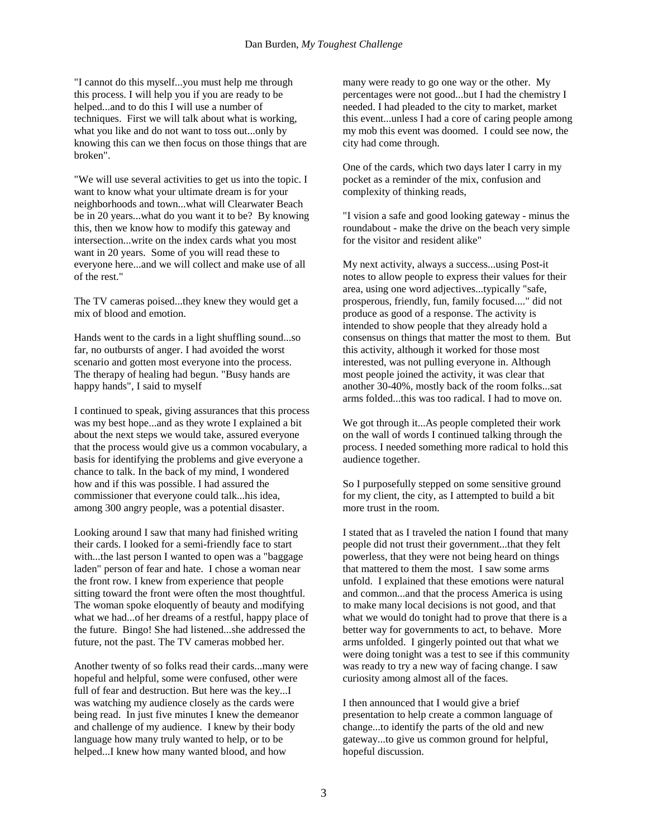"I cannot do this myself...you must help me through this process. I will help you if you are ready to be helped...and to do this I will use a number of techniques. First we will talk about what is working, what you like and do not want to toss out...only by knowing this can we then focus on those things that are broken".

"We will use several activities to get us into the topic. I want to know what your ultimate dream is for your neighborhoods and town...what will Clearwater Beach be in 20 years...what do you want it to be? By knowing this, then we know how to modify this gateway and intersection...write on the index cards what you most want in 20 years. Some of you will read these to everyone here...and we will collect and make use of all of the rest."

The TV cameras poised...they knew they would get a mix of blood and emotion.

Hands went to the cards in a light shuffling sound...so far, no outbursts of anger. I had avoided the worst scenario and gotten most everyone into the process. The therapy of healing had begun. "Busy hands are happy hands", I said to myself

I continued to speak, giving assurances that this process was my best hope...and as they wrote I explained a bit about the next steps we would take, assured everyone that the process would give us a common vocabulary, a basis for identifying the problems and give everyone a chance to talk. In the back of my mind, I wondered how and if this was possible. I had assured the commissioner that everyone could talk...his idea, among 300 angry people, was a potential disaster.

Looking around I saw that many had finished writing their cards. I looked for a semi-friendly face to start with...the last person I wanted to open was a "baggage laden" person of fear and hate. I chose a woman near the front row. I knew from experience that people sitting toward the front were often the most thoughtful. The woman spoke eloquently of beauty and modifying what we had...of her dreams of a restful, happy place of the future. Bingo! She had listened...she addressed the future, not the past. The TV cameras mobbed her.

Another twenty of so folks read their cards...many were hopeful and helpful, some were confused, other were full of fear and destruction. But here was the key...I was watching my audience closely as the cards were being read. In just five minutes I knew the demeanor and challenge of my audience. I knew by their body language how many truly wanted to help, or to be helped...I knew how many wanted blood, and how

many were ready to go one way or the other. My percentages were not good...but I had the chemistry I needed. I had pleaded to the city to market, market this event...unless I had a core of caring people among my mob this event was doomed. I could see now, the city had come through.

One of the cards, which two days later I carry in my pocket as a reminder of the mix, confusion and complexity of thinking reads,

"I vision a safe and good looking gateway - minus the roundabout - make the drive on the beach very simple for the visitor and resident alike"

My next activity, always a success...using Post-it notes to allow people to express their values for their area, using one word adjectives...typically "safe, prosperous, friendly, fun, family focused...." did not produce as good of a response. The activity is intended to show people that they already hold a consensus on things that matter the most to them. But this activity, although it worked for those most interested, was not pulling everyone in. Although most people joined the activity, it was clear that another 30-40%, mostly back of the room folks...sat arms folded...this was too radical. I had to move on.

We got through it...As people completed their work on the wall of words I continued talking through the process. I needed something more radical to hold this audience together.

So I purposefully stepped on some sensitive ground for my client, the city, as I attempted to build a bit more trust in the room.

I stated that as I traveled the nation I found that many people did not trust their government...that they felt powerless, that they were not being heard on things that mattered to them the most. I saw some arms unfold. I explained that these emotions were natural and common...and that the process America is using to make many local decisions is not good, and that what we would do tonight had to prove that there is a better way for governments to act, to behave. More arms unfolded. I gingerly pointed out that what we were doing tonight was a test to see if this community was ready to try a new way of facing change. I saw curiosity among almost all of the faces.

I then announced that I would give a brief presentation to help create a common language of change...to identify the parts of the old and new gateway...to give us common ground for helpful, hopeful discussion.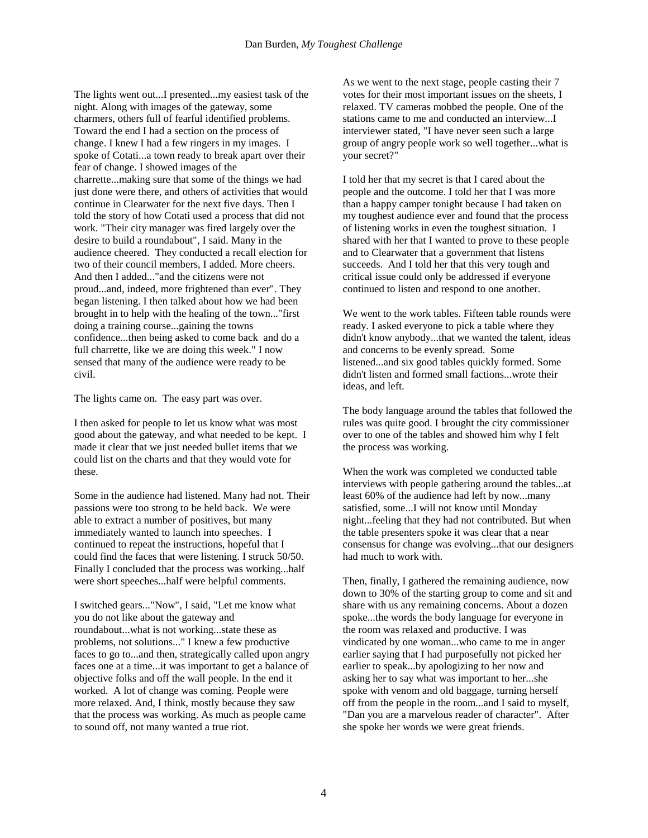The lights went out...I presented...my easiest task of the night. Along with images of the gateway, some charmers, others full of fearful identified problems. Toward the end I had a section on the process of change. I knew I had a few ringers in my images. I spoke of Cotati...a town ready to break apart over their fear of change. I showed images of the charrette...making sure that some of the things we had just done were there, and others of activities that would continue in Clearwater for the next five days. Then I told the story of how Cotati used a process that did not work. "Their city manager was fired largely over the desire to build a roundabout", I said. Many in the audience cheered. They conducted a recall election for two of their council members, I added. More cheers. And then I added..."and the citizens were not proud...and, indeed, more frightened than ever". They began listening. I then talked about how we had been brought in to help with the healing of the town..."first doing a training course...gaining the towns confidence...then being asked to come back and do a full charrette, like we are doing this week." I now sensed that many of the audience were ready to be civil.

The lights came on. The easy part was over.

I then asked for people to let us know what was most good about the gateway, and what needed to be kept. I made it clear that we just needed bullet items that we could list on the charts and that they would vote for these.

Some in the audience had listened. Many had not. Their passions were too strong to be held back. We were able to extract a number of positives, but many immediately wanted to launch into speeches. I continued to repeat the instructions, hopeful that I could find the faces that were listening. I struck 50/50. Finally I concluded that the process was working...half were short speeches...half were helpful comments.

I switched gears..."Now", I said, "Let me know what you do not like about the gateway and roundabout...what is not working...state these as problems, not solutions..." I knew a few productive faces to go to...and then, strategically called upon angry faces one at a time...it was important to get a balance of objective folks and off the wall people. In the end it worked. A lot of change was coming. People were more relaxed. And, I think, mostly because they saw that the process was working. As much as people came to sound off, not many wanted a true riot.

As we went to the next stage, people casting their 7 votes for their most important issues on the sheets, I relaxed. TV cameras mobbed the people. One of the stations came to me and conducted an interview...I interviewer stated, "I have never seen such a large group of angry people work so well together...what is your secret?"

I told her that my secret is that I cared about the people and the outcome. I told her that I was more than a happy camper tonight because I had taken on my toughest audience ever and found that the process of listening works in even the toughest situation. I shared with her that I wanted to prove to these people and to Clearwater that a government that listens succeeds. And I told her that this very tough and critical issue could only be addressed if everyone continued to listen and respond to one another.

We went to the work tables. Fifteen table rounds were ready. I asked everyone to pick a table where they didn't know anybody...that we wanted the talent, ideas and concerns to be evenly spread. Some listened...and six good tables quickly formed. Some didn't listen and formed small factions...wrote their ideas, and left.

The body language around the tables that followed the rules was quite good. I brought the city commissioner over to one of the tables and showed him why I felt the process was working.

When the work was completed we conducted table interviews with people gathering around the tables...at least 60% of the audience had left by now...many satisfied, some...I will not know until Monday night...feeling that they had not contributed. But when the table presenters spoke it was clear that a near consensus for change was evolving...that our designers had much to work with.

Then, finally, I gathered the remaining audience, now down to 30% of the starting group to come and sit and share with us any remaining concerns. About a dozen spoke...the words the body language for everyone in the room was relaxed and productive. I was vindicated by one woman...who came to me in anger earlier saying that I had purposefully not picked her earlier to speak...by apologizing to her now and asking her to say what was important to her...she spoke with venom and old baggage, turning herself off from the people in the room...and I said to myself, "Dan you are a marvelous reader of character". After she spoke her words we were great friends.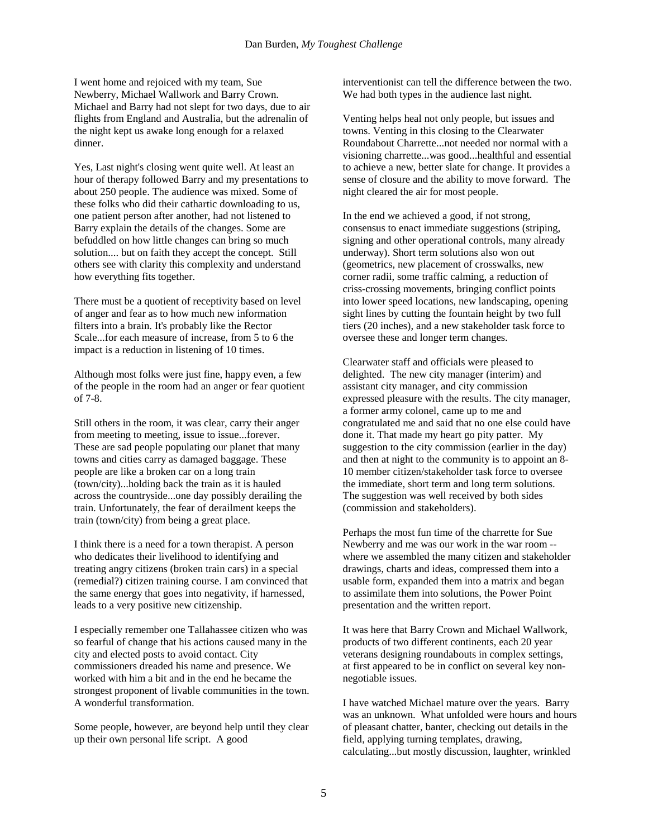I went home and rejoiced with my team, Sue Newberry, Michael Wallwork and Barry Crown. Michael and Barry had not slept for two days, due to air flights from England and Australia, but the adrenalin of the night kept us awake long enough for a relaxed dinner.

Yes, Last night's closing went quite well. At least an hour of therapy followed Barry and my presentations to about 250 people. The audience was mixed. Some of these folks who did their cathartic downloading to us, one patient person after another, had not listened to Barry explain the details of the changes. Some are befuddled on how little changes can bring so much solution.... but on faith they accept the concept. Still others see with clarity this complexity and understand how everything fits together.

There must be a quotient of receptivity based on level of anger and fear as to how much new information filters into a brain. It's probably like the Rector Scale...for each measure of increase, from 5 to 6 the impact is a reduction in listening of 10 times.

Although most folks were just fine, happy even, a few of the people in the room had an anger or fear quotient of 7-8.

Still others in the room, it was clear, carry their anger from meeting to meeting, issue to issue...forever. These are sad people populating our planet that many towns and cities carry as damaged baggage. These people are like a broken car on a long train (town/city)...holding back the train as it is hauled across the countryside...one day possibly derailing the train. Unfortunately, the fear of derailment keeps the train (town/city) from being a great place.

I think there is a need for a town therapist. A person who dedicates their livelihood to identifying and treating angry citizens (broken train cars) in a special (remedial?) citizen training course. I am convinced that the same energy that goes into negativity, if harnessed, leads to a very positive new citizenship.

I especially remember one Tallahassee citizen who was so fearful of change that his actions caused many in the city and elected posts to avoid contact. City commissioners dreaded his name and presence. We worked with him a bit and in the end he became the strongest proponent of livable communities in the town. A wonderful transformation.

Some people, however, are beyond help until they clear up their own personal life script. A good

interventionist can tell the difference between the two. We had both types in the audience last night.

Venting helps heal not only people, but issues and towns. Venting in this closing to the Clearwater Roundabout Charrette...not needed nor normal with a visioning charrette...was good...healthful and essential to achieve a new, better slate for change. It provides a sense of closure and the ability to move forward. The night cleared the air for most people.

In the end we achieved a good, if not strong, consensus to enact immediate suggestions (striping, signing and other operational controls, many already underway). Short term solutions also won out (geometrics, new placement of crosswalks, new corner radii, some traffic calming, a reduction of criss-crossing movements, bringing conflict points into lower speed locations, new landscaping, opening sight lines by cutting the fountain height by two full tiers (20 inches), and a new stakeholder task force to oversee these and longer term changes.

Clearwater staff and officials were pleased to delighted. The new city manager (interim) and assistant city manager, and city commission expressed pleasure with the results. The city manager, a former army colonel, came up to me and congratulated me and said that no one else could have done it. That made my heart go pity patter. My suggestion to the city commission (earlier in the day) and then at night to the community is to appoint an 8- 10 member citizen/stakeholder task force to oversee the immediate, short term and long term solutions. The suggestion was well received by both sides (commission and stakeholders).

Perhaps the most fun time of the charrette for Sue Newberry and me was our work in the war room - where we assembled the many citizen and stakeholder drawings, charts and ideas, compressed them into a usable form, expanded them into a matrix and began to assimilate them into solutions, the Power Point presentation and the written report.

It was here that Barry Crown and Michael Wallwork, products of two different continents, each 20 year veterans designing roundabouts in complex settings, at first appeared to be in conflict on several key nonnegotiable issues.

I have watched Michael mature over the years. Barry was an unknown. What unfolded were hours and hours of pleasant chatter, banter, checking out details in the field, applying turning templates, drawing, calculating...but mostly discussion, laughter, wrinkled